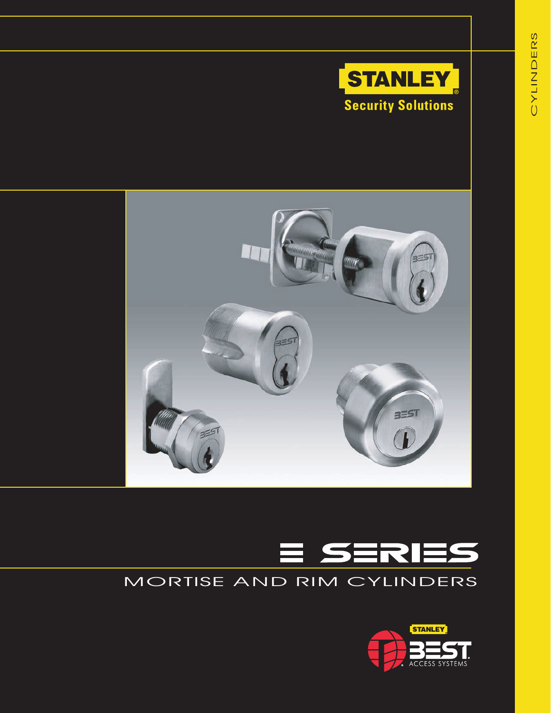





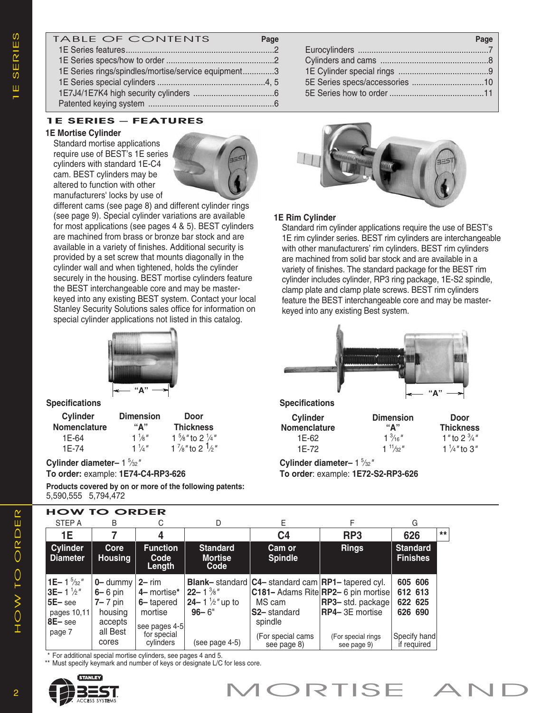| <b>TABLE OF CONTENTS</b>                            | Page | Page |
|-----------------------------------------------------|------|------|
|                                                     |      |      |
|                                                     |      |      |
| 1E Series rings/spindles/mortise/service equipment3 |      |      |
|                                                     |      |      |
|                                                     |      |      |
|                                                     |      |      |

### 1E SERIES – FEATURES

#### **1E Mortise Cylinder**

Standard mortise applications require use of BEST's 1E series cylinders with standard 1E-C4 cam. BEST cylinders may be altered to function with other manufacturers' locks by use of



different cams (see page 8) and different cylinder rings (see page 9). Special cylinder variations are available for most applications (see pages 4 & 5). BEST cylinders are machined from brass or bronze bar stock and are available in a variety of finishes. Additional security is provided by a set screw that mounts diagonally in the cylinder wall and when tightened, holds the cylinder securely in the housing. BEST mortise cylinders feature the BEST interchangeable core and may be masterkeyed into any existing BEST system. Contact your local Stanley Security Solutions sales office for information on special cylinder applications not listed in this catalog.



#### **Specifications**

| <b>Thickness</b>                       |
|----------------------------------------|
| 1 $\frac{5}{8}$ " to 2 $\frac{1}{4}$ " |
| 1 $\frac{7}{8}$ " to 2 $\frac{1}{2}$ " |
|                                        |

#### **Cylinder diameter–** 1 <sup>5</sup> ⁄32*"* **To order:** example: **1E74-C4-RP3-626**

**Products covered by on or more of the following patents:** 5,590,555 5,794,472

| Page |
|------|
|      |
|      |
|      |
|      |
|      |



### **1E Rim Cylinder**

Standard rim cylinder applications require the use of BEST's 1E rim cylinder series. BEST rim cylinders are interchangeable with other manufacturers' rim cylinders. BEST rim cylinders are machined from solid bar stock and are available in a variety of finishes. The standard package for the BEST rim cylinder includes cylinder, RP3 ring package, 1E-S2 spindle, clamp plate and clamp plate screws. BEST rim cylinders feature the BEST interchangeable core and may be masterkeyed into any existing Best system.



**Specifications**

| Cylinder     | <b>Dimension</b>  | Door                     |
|--------------|-------------------|--------------------------|
| Nomenclature | "Δ"               | <b>Thickness</b>         |
| 1E-62        | $1\frac{3}{16}$ " | 1 " to 2 $\frac{3}{4}$ " |
| 1E-72        | $1^{11}/32$       | $1\frac{1}{4}$ " to 3"   |

**Cylinder diameter–** 1 <sup>5</sup> ⁄32*"* **To order**: example: **1E72-S2-RP3-626**

| <b>HOW TO ORDER</b>                                                                    |                                                                 |                                                                   |                                                                 |                                                                                                 |                                                                                          |                                          |      |
|----------------------------------------------------------------------------------------|-----------------------------------------------------------------|-------------------------------------------------------------------|-----------------------------------------------------------------|-------------------------------------------------------------------------------------------------|------------------------------------------------------------------------------------------|------------------------------------------|------|
| STEP A                                                                                 | B                                                               | С                                                                 | D                                                               | E.                                                                                              | F                                                                                        | G                                        |      |
| 1E                                                                                     |                                                                 | 4                                                                 |                                                                 | C <sub>4</sub>                                                                                  | RP <sub>3</sub>                                                                          | 626                                      | $**$ |
| <b>Cylinder</b><br><b>Diameter</b>                                                     | Core<br><b>Housing</b>                                          | <b>Function</b><br>Code<br>Length                                 | <b>Standard</b><br><b>Mortise</b><br>Code                       | <b>Cam or</b><br><b>Spindle</b>                                                                 | <b>Rings</b>                                                                             | <b>Standard</b><br><b>Finishes</b>       |      |
| 1E-1 $\frac{5}{32}$ "<br>$3E-1\frac{1}{2}$ "<br>$5E-$ see<br>pages 10,11<br>$ 8E-$ see | $0 -$ dummy<br>$6 - 6$ pin<br>$7 - 7$ pin<br>housing<br>accepts | $2 - rim$<br>4- mortise*<br>6-tapered<br>mortise<br>see pages 4-5 | $22 - 1\frac{3}{8}$ "<br>$24 - 1\frac{1}{2}$ up to<br>$96 - 6"$ | Blank-standard   C4-standard cam   RP1-tapered cyl.<br>MS cam<br><b>S2-</b> standard<br>spindle | C181- Adams Rite RP2- 6 pin mortise<br><b>RP3-</b> std. package<br><b>RP4-3E</b> mortise | 605 606<br>612 613<br>622 625<br>626 690 |      |
| page 7                                                                                 | all Best<br>cores                                               | for special<br>cylinders                                          | (see page 4-5)                                                  | (For special cams<br>see page 8)                                                                | (For special rings<br>see page 9)                                                        | Specify hand<br>if required              |      |

\* For additional special mortise cylinders, see pages 4 and 5.

\*\* Must specify keymark and number of keys or designate L/C for less core.

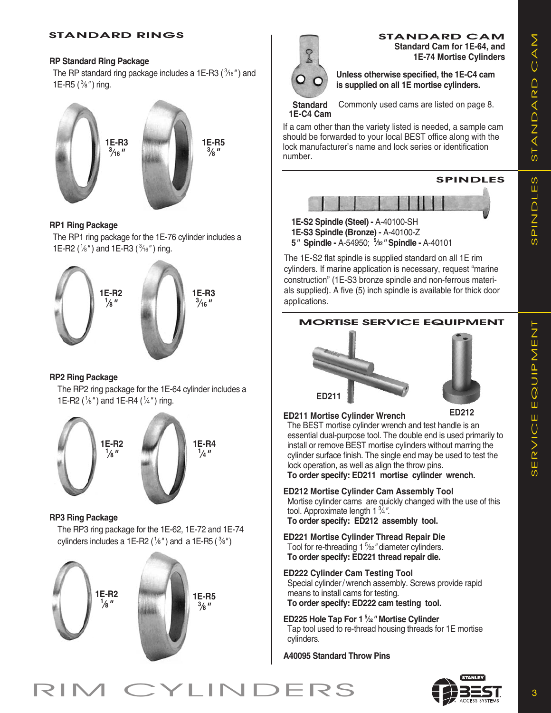## S) T  $\blacktriangleleft$ Z  $\triangle$  $\blacktriangleleft$  $\mathbf{\underline{\alpha}}$  $\triangle$  $\bigcirc$  $\blacktriangleleft$  $\sum$ (J Z<br>교  $\triangle$  $\overline{\phantom{a}}$  $\sqcup$ S)

## STANDARD RINGS

## **RP Standard Ring Package**

The RP standard ring package includes a 1E-R3 ( <sup>3</sup> ⁄16*"* ) and 1E-R5 ( <sup>3</sup> ⁄8*"* ) ring.



## **RP1 Ring Package**

The RP1 ring package for the 1E-76 cylinder includes a 1E-R2 ( 1 ⁄8*"* ) and 1E-R3 ( <sup>3</sup> ⁄16*"* ) ring.



## **RP2 Ring Package**

The RP2 ring package for the 1E-64 cylinder includes a 1E-R2 ( 1 ⁄8*"* ) and 1E-R4 ( 1 ⁄4*"* ) ring.



## **RP3 Ring Package**

The RP3 ring package for the 1E-62, 1E-72 and 1E-74 cylinders includes a 1E-R2 ( 1 ⁄8*"* ) and a 1E-R5 ( <sup>3</sup> ⁄8*"* )





STANDARD CAM **Standard Cam for 1E-64, and 1E-74 Mortise Cylinders**

**Unless otherwise specified, the 1E-C4 cam is supplied on all 1E mortise cylinders.**

**Standard 1E-C4 Cam**

Commonly used cams are listed on page 8.

If a cam other than the variety listed is needed, a sample cam should be forwarded to your local BEST office along with the lock manufacturer's name and lock series or identification number.



**1E-S3 Spindle (Bronze) -** A-40100-Z

**5***"* **Spindle -** A-54950; **<sup>5</sup> ⁄32***"* **Spindle -** A-40101

The 1E-S2 flat spindle is supplied standard on all 1E rim cylinders. If marine application is necessary, request "marine construction" (1E-S3 bronze spindle and non-ferrous materials supplied). A five (5) inch spindle is available for thick door applications.

## MORTISE SERVICE EQUIPMENT





**ED211 Mortise Cylinder Wrench** The BEST mortise cylinder wrench and test handle is an essential dual-purpose tool. The double end is used primarily to install or remove BEST mortise cylinders without marring the cylinder surface finish. The single end may be used to test the lock operation, as well as align the throw pins. **To order specify: ED211 mortise cylinder wrench.**

- **ED212 Mortise Cylinder Cam Assembly Tool** Mortise cylinder cams are quickly changed with the use of this tool. Approximate length 1 <sup>3</sup> ⁄4*"*. **To order specify: ED212 assembly tool.**
- **ED221 Mortise Cylinder Thread Repair Die** Tool for re-threading 1 <sup>5</sup> ⁄32*"* diameter cylinders. **To order specify: ED221 thread repair die.**
- **ED222 Cylinder Cam Testing Tool** Special cylinder/wrench assembly. Screws provide rapid means to install cams for testing. **To order specify: ED222 cam testing tool.**

**ED225 Hole Tap For 1 <sup>5</sup> ⁄32***"* **Mortise Cylinder** Tap tool used to re-thread housing threads for 1E mortise cylinders.

**A40095 Standard Throw Pins**

 $\sum$  $\sqcup$ Z  $\vdash$ 

# RIM CYLINDERS CEST

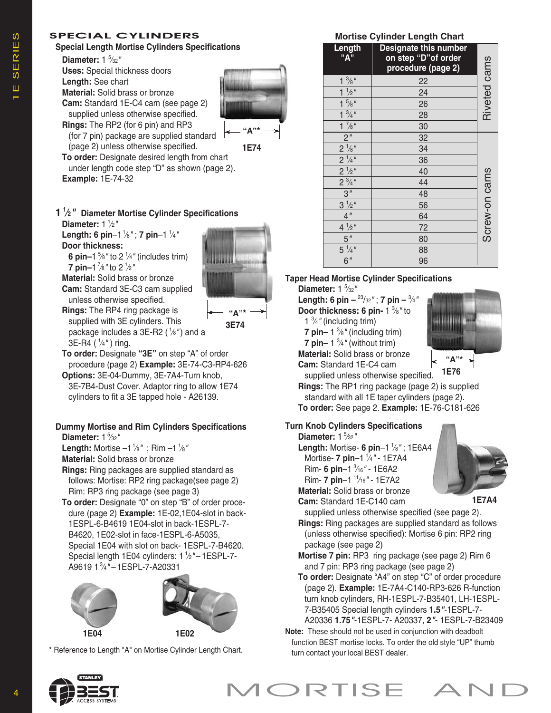## SPECIAL CYLINDERS

## **Special Length Mortise Cylinders Specifications**

**Diameter:** 1 <sup>5</sup> ⁄32*"*

**Diameter:** 1 <sup>1</sup> ⁄2*"*

**Door thickness:**

**7 pin–**1 <sup>7</sup> ⁄8*"* to 2 <sup>1</sup> ⁄2*"*

**Uses:** Special thickness doors **Length:** See chart **Material:** Solid brass or bronze

**Cam:** Standard 1E-C4 cam (see page 2) supplied unless otherwise specified.

**Rings:** The RP2 (for 6 pin) and RP3

(page 2) unless otherwise specified.



**1E74**

**To order:** Designate desired length from chart under length code step "D" as shown (page 2). **Example:** 1E-74-32

**1 1 ⁄2***"* **Diameter Mortise Cylinder Specifications**



**Material:** Solid brass or bronze **Cam:** Standard 3E-C3 cam supplied unless otherwise specified.

**6 pin–1**  $\frac{5}{8}$ " to 2  $\frac{1}{4}$ " (includes trim)

**Length: 6 pin**–1<sup>1</sup> ⁄8*"* ; **7 pin**–1 <sup>1</sup> ⁄4*"*

**Rings:** The RP4 ring package is supplied with 3E cylinders. This package includes a 3E-R2 ( <sup>1</sup> ⁄8*"*) and a 3E-R4 ( <sup>1</sup> ⁄4*"* ) ring.

**"A"\* 3E74**

**To order:** Designate **"3E"** on step "A" of order procedure (page 2) **Example:** 3E-74-C3-RP4-626 **Options:** 3E-04-Dummy, 3E-7A4-Turn knob,

3E-7B4-Dust Cover. Adaptor ring to allow 1E74 cylinders to fit a 3E tapped hole - A26139.

## **Dummy Mortise and Rim Cylinders Specifications**

**Diameter:** 1 <sup>5</sup> ⁄32*"*

**Length:** Mortise –1 1/8" ; Rim –1 1/8"

**Material:** Solid brass or bronze

**Rings:** Ring packages are supplied standard as follows: Mortise: RP2 ring package(see page 2) Rim: RP3 ring package (see page 3)

**To order:** Designate "0" on step "B" of order procedure (page 2) **Example:** 1E-02,1E04-slot in back-1ESPL-6-B4619 1E04-slot in back-1ESPL-7- B4620, 1E02-slot in face-1ESPL-6-A5035, Special 1E04 with slot on back- 1ESPL-7-B4620. Special length 1E04 cylinders: 1 <sup>1</sup> ⁄2*"* – 1ESPL-7- A9619 1 <sup>3</sup> ⁄4*"* – 1ESPL-7-A20331



\* Reference to Length "A" on Mortise Cylinder Length Chart.

## **Mortise Cylinder Length Chart**

| Length<br>"A"                                          | Designate this number<br>on step "D" of order<br>procedure (page 2) | Riveted cams  |
|--------------------------------------------------------|---------------------------------------------------------------------|---------------|
| $1\frac{3}{8}$ "                                       | $\frac{22}{2}$                                                      |               |
| $1 \frac{1}{2}$ "                                      | 24                                                                  |               |
| $1\frac{5}{8}$ "                                       | 26                                                                  |               |
| $\frac{1 \frac{3}{4}n}{1}$                             | 28                                                                  |               |
| $\frac{7}{8}$ "                                        | 30                                                                  |               |
| $\overline{2}$ "                                       | $\overline{32}$                                                     |               |
|                                                        | 34                                                                  |               |
| $\frac{2^{1/8}}{2^{1/4}}$<br>$\frac{2^{1/4}}{2^{1/2}}$ | 36                                                                  |               |
|                                                        | 40                                                                  |               |
| $2^{3/4}$                                              | 44                                                                  | Screw-on cams |
| 3''                                                    | 48                                                                  |               |
| $3\frac{1}{2}$ "                                       | 56                                                                  |               |
| 4 <sup>''</sup>                                        | 64                                                                  |               |
| $4 \frac{1}{2}$                                        | $\overline{72}$                                                     |               |
| 5''                                                    | 80                                                                  |               |
| $5\frac{1}{4}$                                         | 88                                                                  |               |
| $\overline{6}$ "                                       | 96                                                                  |               |

## **Taper Head Mortise Cylinder Specifications**

**Diameter:** 1  $\frac{5}{32}$ 

**Length: 6 pin –** <sup>23</sup> /32*"* ; **7 pin –** <sup>3</sup> ⁄4*"*

- **Door thickness: 6 pin-** 1 <sup>3</sup> ⁄8*"* to
- 1 <sup>3</sup> ⁄4*"* (including trim)
- **7 pin–** 1 <sup>3</sup> ⁄8*"* (including trim)
- **7 pin–** 1  $\frac{3}{4}$ " (without trim)
- **Material:** Solid brass or bronze

**Cam:** Standard 1E-C4 cam

supplied unless otherwise specified. **Rings:** The RP1 ring package (page 2) is supplied standard with all 1E taper cylinders (page 2). **To order:** See page 2. **Example:** 1E-76-C181-626 **1E76**

## **Turn Knob Cylinders Specifications**

**Diameter:** 1 <sup>5</sup> ⁄32*"*

**Length:** Mortise- **6 pin**–1 <sup>1</sup> ⁄8*"* ; 1E6A4 Mortise- **7 pin**–1 <sup>1</sup> ⁄4*"* - 1E7A4 Rim- **6 pin**–1 <sup>3</sup> ⁄16*"* - 1E6A2 Rim- **7 pin**–1 <sup>11</sup> ⁄16*"* - 1E7A2

**Material:** Solid brass or bronze **Cam:** Standard 1E-C140 cam



**"A"\***

..............

**1E7A4**

- supplied unless otherwise specified (see page 2). **Rings:** Ring packages are supplied standard as follows (unless otherwise specified): Mortise 6 pin: RP2 ring package (see page 2)
- **Mortise 7 pin:** RP3 ring package (see page 2) Rim 6 and 7 pin: RP3 ring package (see page 2)
- **To order:** Designate "A4" on step "C" of order procedure (page 2). **Example:** 1E-7A4-C140-RP3-626 R-function turn knob cylinders, RH-1ESPL-7-B35401, LH-1ESPL-7-B35405 Special length cylinders **1.5***"*-1ESPL-7- A20336 **1.75***"*-1ESPL-7- A20337, **2***"*- 1ESPL-7-B23409

**Note:** These should not be used in conjunction with deadbolt function BEST mortise locks. To order the old style "UP" thumb turn contact your local BEST dealer.

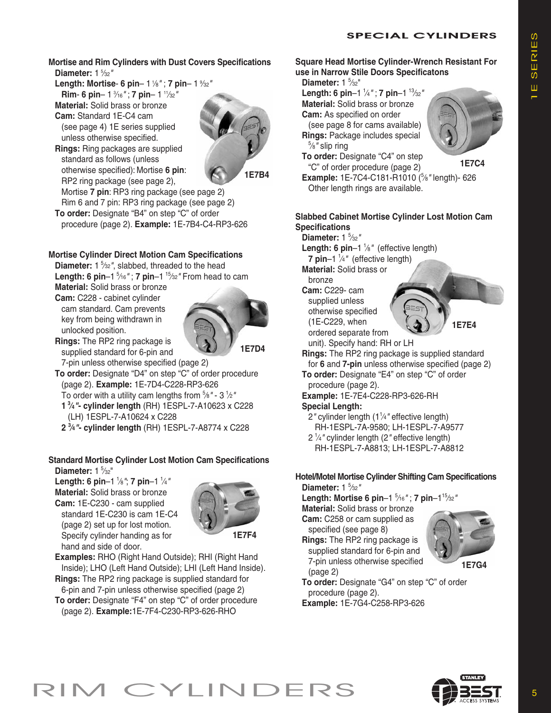## **SPECIAL CYLINDERS**

**Mortise and Rim Cylinders with Dust Covers Specifications Diameter:** 1 <sup>5</sup> ⁄32*"*

**Length: Mortise**- **6 pin**– 1 <sup>1</sup> ⁄8*"* ; **7 pin**– 1 <sup>9</sup> ⁄32*"*

**Rim**- **6 pin**– 1 <sup>3</sup> ⁄16*"* ; **7 pin**– 1 <sup>11</sup> ⁄32*"* **Material:** Solid brass or bronze

**Cam:** Standard 1E-C4 cam (see page 4) 1E series supplied unless otherwise specified.



**Rings:** Ring packages are supplied standard as follows (unless otherwise specified): Mortise **6 pin**: RP2 ring package (see page 2),

**1E7B4**

Mortise **7 pin**: RP3 ring package (see page 2) Rim 6 and 7 pin: RP3 ring package (see page 2) **To order:** Designate "B4" on step "C" of order procedure (page 2). **Example:** 1E-7B4-C4-RP3-626

## **Mortise Cylinder Direct Motion Cam Specifications**

**Diameter:** 1 <sup>5</sup> ⁄32*"*, slabbed, threaded to the head **Length: 6 pin**–1 <sup>5</sup> ⁄16*"* ; **7 pin**–1 <sup>15</sup> ⁄32*"* From head to cam

**Material:** Solid brass or bronze **Cam:** C228 - cabinet cylinder cam standard. Cam prevents key from being withdrawn in unlocked position.



**Rings:** The RP2 ring package is supplied standard for 6-pin and 7-pin unless otherwise specified (page 2)

**To order:** Designate "D4" on step "C" of order procedure (page 2). **Example:** 1E-7D4-C228-RP3-626

- To order with a utility cam lengths from <sup>5</sup> ⁄8*"* 3 <sup>1</sup> ⁄2*"*
- **1 3 ⁄4***"***- cylinder length** (RH) 1ESPL-7-A10623 x C228 (LH) 1ESPL-7-A10624 x C228
- **2 <sup>3</sup> ⁄4***"***- cylinder length** (RH) 1ESPL-7-A8774 x C228

## **Standard Mortise Cylinder Lost Motion Cam Specifications** Diameter: 1  $\frac{5}{32}$ "

**Length: 6 pin**–1 <sup>1</sup> ⁄8*"*; **7 pin**–1 <sup>1</sup> ⁄4*"* **Material:** Solid brass or bronze **Cam:** 1E-C230 - cam supplied standard 1E-C230 is cam 1E-C4 (page 2) set up for lost motion. Specify cylinder handing as for hand and side of door.



**1E7F4**

**Examples:** RHO (Right Hand Outside); RHI (Right Hand Inside); LHO (Left Hand Outside); LHI (Left Hand Inside).

**Rings:** The RP2 ring package is supplied standard for 6-pin and 7-pin unless otherwise specified (page 2) **To order:** Designate "F4" on step "C" of order procedure (page 2). **Example:**1E-7F4-C230-RP3-626-RHO

### **Square Head Mortise Cylinder-Wrench Resistant For use in Narrow Stile Doors Specificatons**

Diameter: 1  $\frac{5}{32}$ "

**Length: 6 pin**–1 <sup>1</sup> ⁄4*"* ; **7 pin**–1 <sup>13</sup> ⁄32*"* **Material:** Solid brass or bronze

**Cam:** As specified on order (see page 8 for cams available)

**Rings:** Package includes special 5 ⁄8*"* slip ring

**To order:** Designate "C4" on step "C" of order procedure (page 2)



**1E7C4**

**Example:** 1E-7C4-C181-R1010 ( 5 ⁄8*"* length)- 626 Other length rings are available.

## **Slabbed Cabinet Mortise Cylinder Lost Motion Cam Specifications**

**Diameter:** 1 <sup>5</sup> ⁄32*"* Length: 6 pin-1 <sup>1</sup>/8" (effective length) **7 pin**–1 <sup>1</sup> ⁄4*"* (effective length) **Material:** Solid brass or bronze **Cam:** C229- cam

supplied unless otherwise specified (1E-C229, when ordered separate from



unit). Specify hand: RH or LH

- **Rings:** The RP2 ring package is supplied standard for **6** and **7-pin** unless otherwise specified (page 2)
- **To order:** Designate "E4" on step "C" of order procedure (page 2).

**Example:** 1E-7E4-C228-RP3-626-RH **Special Length:**

- 2*"* cylinder length (11 ⁄4*"* effective length) RH-1ESPL-7A-9580; LH-1ESPL-7-A9577
- 2 1 ⁄4*"* cylinder length (2*"* effective length)
- RH-1ESPL-7-A8813; LH-1ESPL-7-A8812

### **Hotel/Motel Mortise Cylinder Shifting Cam Specifications Diameter:** 1 <sup>5</sup> ⁄32*"*

**Length: Mortise 6 pin**–1 <sup>5</sup> ⁄16*"* ; **7 pin**–115 ⁄32*"*

**Material:** Solid brass or bronze **Cam:** C258 or cam supplied as specified (see page 8)

**Rings:** The RP2 ring package is supplied standard for 6-pin and 7-pin unless otherwise specified (page 2)



**1E7G4**

**To order:** Designate "G4" on step "C" of order procedure (page 2).

**Example:** 1E-7G4-C258-RP3-626

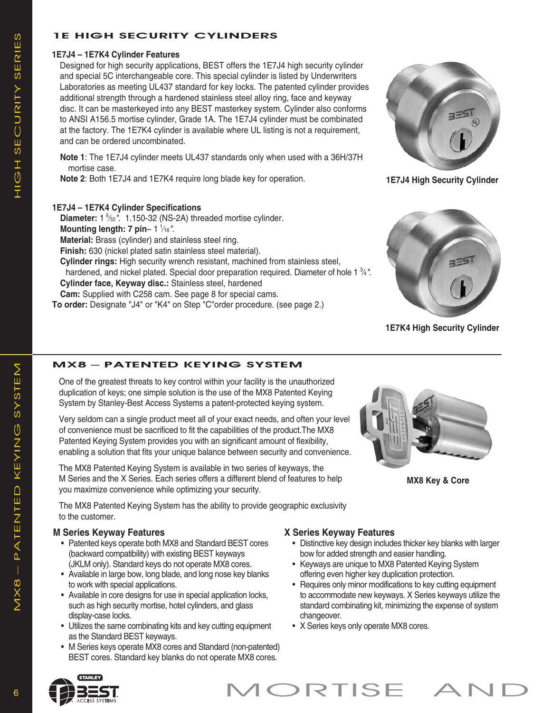## 1E HIGH SECURITY CYLINDERS

## **1E7J4 – 1E7K4 Cylinder Features**

Designed for high security applications, BEST offers the 1E7J4 high security cylinder and special 5C interchangeable core. This special cylinder is listed by Underwriters Laboratories as meeting UL437 standard for key locks. The patented cylinder provides additional strength through a hardened stainless steel alloy ring, face and keyway disc. It can be masterkeyed into any BEST masterkey system. Cylinder also conforms to ANSI A156.5 mortise cylinder, Grade 1A. The 1E7J4 cylinder must be combinated at the factory. The 1E7K4 cylinder is available where UL listing is not a requirement, and can be ordered uncombinated.

**Note 1**: The 1E7J4 cylinder meets UL437 standards only when used with a 36H/37H mortise case.

**Note 2**: Both 1E7J4 and 1E7K4 require long blade key for operation. **1E7J4 High Security Cylinder** 

## **1E7J4 – 1E7K4 Cylinder Specifications**

Diameter: 1<sup>5</sup>/32". 1.150-32 (NS-2A) threaded mortise cylinder. **Mounting length: 7 pin**– 1 <sup>1</sup> ⁄16*"*. **Material:** Brass (cylinder) and stainless steel ring. **Finish:** 630 (nickel plated satin stainless steel material). **Cylinder rings:** High security wrench resistant, machined from stainless steel, hardened, and nickel plated. Special door preparation required. Diameter of hole 1 <sup>3</sup> ⁄4*"*. **Cylinder face, Keyway disc.:** Stainless steel, hardened **Cam:** Supplied with C258 cam. See page 8 for special cams.

**To order:** Designate "J4" or "K4" on Step "C"order procedure. (see page 2.)





**1E7K4 High Security Cylinder**

**MX8 Key & Core**

## MX8 – PATENTED KEYING SYSTEM

One of the greatest threats to key control within your facility is the unauthorized duplication of keys; one simple solution is the use of the MX8 Patented Keying System by Stanley-Best Access Systems a patent-protected keying system.

Very seldom can a single product meet all of your exact needs, and often your level of convenience must be sacrificed to fit the capabilities of the product.The MX8 Patented Keying System provides you with an significant amount of flexibility, enabling a solution that fits your unique balance between security and convenience.

The MX8 Patented Keying System is available in two series of keyways, the M Series and the X Series. Each series offers a different blend of features to help you maximize convenience while optimizing your security.

The MX8 Patented Keying System has the ability to provide geographic exclusivity to the customer.

## **M Series Keyway Features**

- Patented keys operate both MX8 and Standard BEST cores (backward compatibility) with existing BEST keyways (JKLM only). Standard keys do not operate MX8 cores.
- Available in large bow, long blade, and long nose key blanks to work with special applications.
- Available in core designs for use in special application locks, such as high security mortise, hotel cylinders, and glass display-case locks.
- Utilizes the same combinating kits and key cutting equipment as the Standard BEST keyways.
- M Series keys operate MX8 cores and Standard (non-patented) BEST cores. Standard key blanks do not operate MX8 cores.

## **X Series Keyway Features**

- Distinctive key design includes thicker key blanks with larger bow for added strength and easier handling.
- Keyways are unique to MX8 Patented Keying System offering even higher key duplication protection.
- Requires only minor modifications to key cutting equipment to accommodate new keyways. X Series keyways utilize the standard combinating kit, minimizing the expense of system changeover.
- X Series keys only operate MX8 cores.

 $\sum$ 

 $\sum\limits_{ }$ 

(J)<br>エ

H S)  $\sqcup$  $\bigcirc$ U  $\frac{\mathsf{L}}{\mathsf{C}}$  $\succ$ S)  $\sqcup$  $\frac{\mathbb{L}}{\mathbb{C}}$ S)

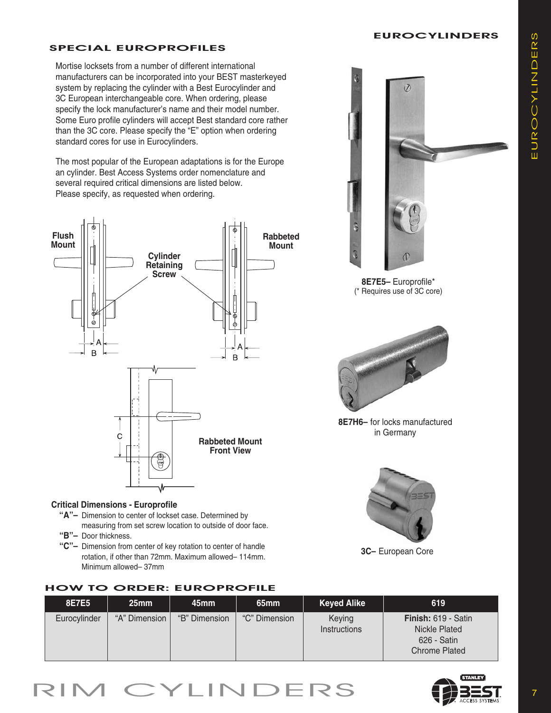## **EUROCYLINDERS**

## SPECIAL EUROPROFILES

Mortise locksets from a number of different international manufacturers can be incorporated into your BEST masterkeyed system by replacing the cylinder with a Best Eurocylinder and 3C European interchangeable core. When ordering, please specify the lock manufacturer's name and their model number. Some Euro profile cylinders will accept Best standard core rather than the 3C core. Please specify the "E" option when ordering standard cores for use in Eurocylinders.

The most popular of the European adaptations is for the Europe an cylinder. Best Access Systems order nomenclature and several required critical dimensions are listed below. Please specify, as requested when ordering.



## **Critical Dimensions - Europrofile**

- **"A"–** Dimension to center of lockset case. Determined by measuring from set screw location to outside of door face.
- **"B"–** Door thickness.
- **"C"–** Dimension from center of key rotation to center of handle rotation, if other than 72mm. Maximum allowed– 114mm. Minimum allowed– 37mm

## HOW TO ORDER: EUROPROFILE









**8E7H6–** for locks manufactured in Germany



**3C–** European Core

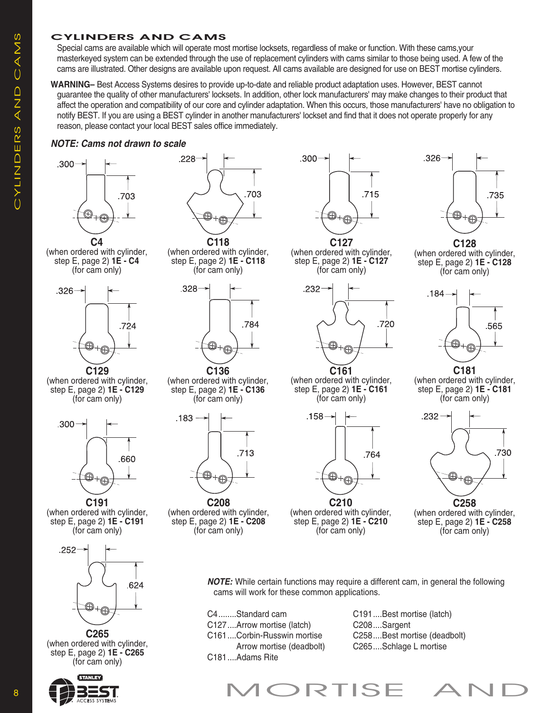## CYLINDERS AND CAMS

Special cams are available which will operate most mortise locksets, regardless of make or function. With these cams,your masterkeyed system can be extended through the use of replacement cylinders with cams similar to those being used. A few of the cams are illustrated. Other designs are available upon request. All cams available are designed for use on BEST mortise cylinders.

**WARNING–** Best Access Systems desires to provide up-to-date and reliable product adaptation uses. However, BEST cannot guarantee the quality of other manufacturers' locksets. In addition, other lock manufacturers' may make changes to their product that affect the operation and compatibility of our core and cylinder adaptation. When this occurs, those manufacturers' have no obligation to notify BEST. If you are using a BEST cylinder in another manufacturers' lockset and find that it does not operate properly for any reason, please contact your local BEST sales office immediately.

## *NOTE: Cams not drawn to scale*



(when ordered with cylinder, step E, page 2) **1E - C4** (for cam only)



**C129** (when ordered with cylinder, step E, page 2) **1E - C129** (for cam only)



**C191** (when ordered with cylinder, step E, page 2) **1E - C191** (for cam only)



**C265** (when ordered with cylinder, step E, page 2) **1E - C265** (for cam only)





**C118** (when ordered with cylinder, step E, page 2) **1E - C118** (for cam only)



**C136** (when ordered with cylinder, step E, page 2) **1E - C136** (for cam only)



**C208** (when ordered with cylinder, step E, page 2) **1E - C208** (for cam only)



(when ordered with cylinder, step E, page 2) **1E - C127** (for cam only)



(when ordered with cylinder, step E, page 2) **1E - C161** (for cam only)



(when ordered with cylinder, step E, page 2) **1E - C210** (for cam only)



**C128** (when ordered with cylinder, step E, page 2) **1E - C128** (for cam only)



**C181** (when ordered with cylinder, step E, page 2) **1E - C181** (for cam only)



(when ordered with cylinder, step E, page 2) **1E - C258** (for cam only)

*NOTE:* While certain functions may require a different cam, in general the following cams will work for these common applications.

C4........Standard cam C127....Arrow mortise (latch) C161....Corbin-Russwin mortise Arrow mortise (deadbolt) C181....Adams Rite

C191....Best mortise (latch) C208....Sargent C258....Best mortise (deadbolt) C265....Schlage L mortise

 $\blacktriangleleft$  $\sum$ S)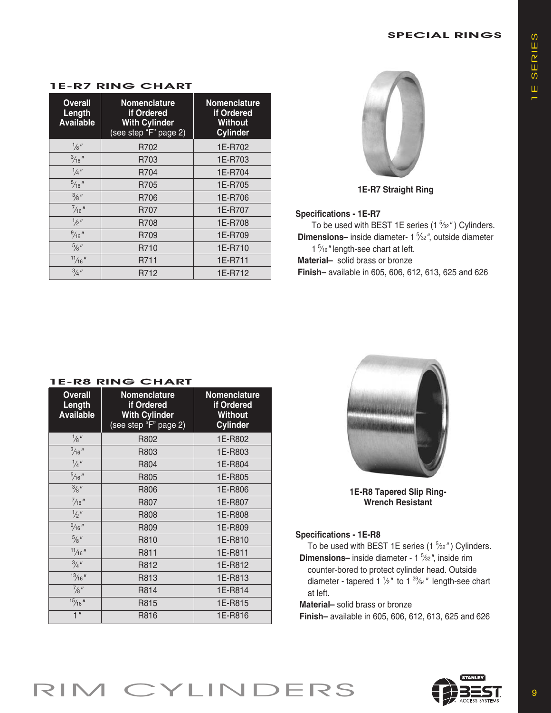## SPECIAL RINGS

| <b>Overall</b><br>Length<br><b>Available</b> | <b>Nomenclature</b><br>if Ordered<br><b>With Cylinder</b><br>(see step "F" page 2) | <b>Nomenclature</b><br>if Ordered<br>Without<br><b>Cylinder</b> |  |  |
|----------------------------------------------|------------------------------------------------------------------------------------|-----------------------------------------------------------------|--|--|
| $\frac{1}{8}$ "                              | R702                                                                               | 1E-R702                                                         |  |  |
| $\frac{3}{16}$ "                             | R703                                                                               | 1E-R703                                                         |  |  |
| $\frac{1}{4}$ "                              | R704                                                                               | 1E-R704                                                         |  |  |
| $\frac{5}{16}$ "                             | R705                                                                               | 1E-R705                                                         |  |  |
| $\frac{3}{8}$ "                              | R706                                                                               | 1E-R706                                                         |  |  |
| $\frac{7}{16}$ "                             | R707                                                                               | 1E-R707                                                         |  |  |
| $\frac{1}{2}$ "                              | R708                                                                               | 1E-R708                                                         |  |  |
| $\frac{9}{16}$ "                             | R709                                                                               | 1E-R709                                                         |  |  |
| $\frac{5}{8}$ "                              | R710                                                                               | 1E-R710                                                         |  |  |
| $\frac{11}{16}$ "                            | R711                                                                               | 1E-R711                                                         |  |  |
| $\frac{3}{4}$ "                              | R712                                                                               | 1E-R712                                                         |  |  |

## 1E-R7 RING CHART



**1E-R7 Straight Ring**

### **Specifications - 1E-R7**

To be used with BEST 1E series (1 <sup>5</sup> ⁄32*"* ) Cylinders. **Dimensions**– inside diameter- 1 <sup>5</sup>/<sub>32</sub>", outside diameter 1 5 ⁄16*"* length-see chart at left.

**Material–** solid brass or bronze

**Finish–** available in 605, 606, 612, 613, 625 and 626

| <b>Overall</b><br>Length<br><b>Available</b> | <b>Nomenclature</b><br>if Ordered<br><b>With Cylinder</b><br>(see step "F" page 2) | <b>Nomenclature</b><br>if Ordered<br><b>Without</b><br><b>Cylinder</b> |
|----------------------------------------------|------------------------------------------------------------------------------------|------------------------------------------------------------------------|
| $\frac{1}{8}$ "                              | R802                                                                               | 1E-R802                                                                |
| $\frac{3}{16}$ "                             | R803                                                                               | 1E-R803                                                                |
| $\frac{1}{4}$ "                              | R804                                                                               | 1E-R804                                                                |
| $\frac{5}{16}$ "                             | R805                                                                               | 1E-R805                                                                |
| $\frac{3}{8}$ "                              | R806                                                                               | 1E-R806                                                                |
| $\frac{7}{16}$ "                             | R807                                                                               | 1E-R807                                                                |
| $\frac{1}{2}$ "                              | R808                                                                               | 1E-R808                                                                |
| $\frac{9}{16}$ "                             | R809                                                                               | 1E-R809                                                                |
| $\frac{5}{8}$ "                              | R810                                                                               | 1E-R810                                                                |
| $\frac{11}{16}$ "                            | R811                                                                               | 1E-R811                                                                |
| $\frac{3}{4}$ "                              | R812                                                                               | 1E-R812                                                                |
| $\frac{13}{16}$ "                            | R813                                                                               | 1E-R813                                                                |
| $\frac{7}{8}$ "                              | R814                                                                               | 1E-R814                                                                |
| $\frac{15}{16}$ $\frac{1}{16}$               | R815                                                                               | 1E-R815                                                                |
| 1 <sup>''</sup>                              | R816                                                                               | 1E-R816                                                                |

## 1E-R8 RING CHART



**1E-R8 Tapered Slip Ring-Wrench Resistant**

## **Specifications - 1E-R8**

To be used with BEST 1E series (1 <sup>5</sup> ⁄32*"* ) Cylinders.

**Dimensions–** inside diameter - 1 <sup>5</sup> ⁄32*"*, inside rim

counter-bored to protect cylinder head. Outside diameter - tapered 1 <sup>1</sup> ⁄2*"* to 1 <sup>29</sup> ⁄64*"* length-see chart at left.

**Material–** solid brass or bronze

**Finish–** available in 605, 606, 612, 613, 625 and 626



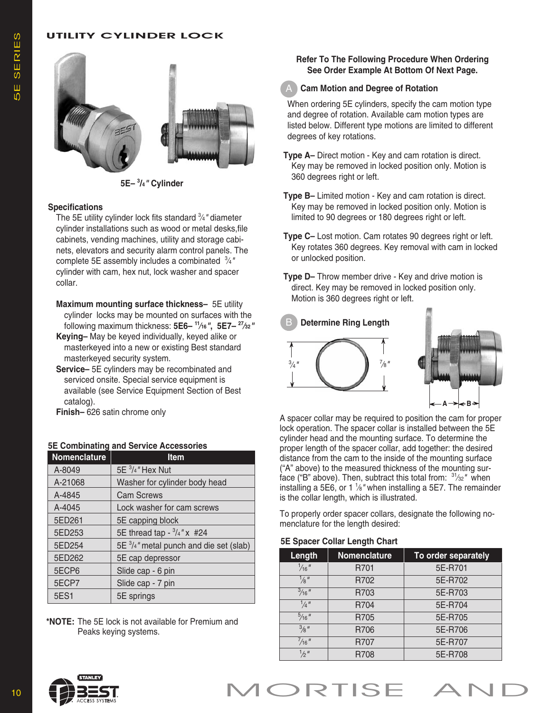## UTILITY CYLINDER LOCK



**5E– <sup>3</sup> /4***"* **Cylinder**

#### **Specifications**

The 5E utility cylinder lock fits standard <sup>3</sup> ⁄4*"* diameter cylinder installations such as wood or metal desks,file cabinets, vending machines, utility and storage cabinets, elevators and security alarm control panels. The complete 5E assembly includes a combinated <sup>3</sup> ⁄4*"* cylinder with cam, hex nut, lock washer and spacer collar.

- **Maximum mounting surface thickness–** 5E utility cylinder locks may be mounted on surfaces with the following maximum thickness: **5E6– <sup>11</sup> ⁄16***"***, 5E7– <sup>27</sup> ⁄32***"*
- **Keying–** May be keyed individually, keyed alike or masterkeyed into a new or existing Best standard masterkeyed security system.
- **Service–** 5E cylinders may be recombinated and serviced onsite. Special service equipment is available (see Service Equipment Section of Best catalog).

**Finish–** 626 satin chrome only

| 5E Combinating and Service Accessories |  |  |
|----------------------------------------|--|--|
|                                        |  |  |

| <b>Nomenclature</b> | <b>Item</b>                                       |
|---------------------|---------------------------------------------------|
| A-8049              | 5E 3/4" Hex Nut                                   |
| A-21068             | Washer for cylinder body head                     |
| A-4845              | <b>Cam Screws</b>                                 |
| A-4045              | Lock washer for cam screws                        |
| 5ED261              | 5E capping block                                  |
| 5ED253              | 5E thread tap - $\frac{3}{4}$ " x #24             |
| 5ED254              | 5E $\frac{3}{4}$ " metal punch and die set (slab) |
| 5ED262              | 5E cap depressor                                  |
| 5ECP6               | Slide cap - 6 pin                                 |
| 5ECP7               | Slide cap - 7 pin                                 |
| 5ES1                | 5E springs                                        |

**\*NOTE:** The 5E lock is not available for Premium and Peaks keying systems.

## **Refer To The Following Procedure When Ordering See Order Example At Bottom Of Next Page.**

#### **Cam Motion and Degree of Rotation** A

When ordering 5E cylinders, specify the cam motion type and degree of rotation. Available cam motion types are listed below. Different type motions are limited to different degrees of key rotations.

- **Type A–** Direct motion Key and cam rotation is direct. Key may be removed in locked position only. Motion is 360 degrees right or left.
- **Type B–** Limited motion Key and cam rotation is direct. Key may be removed in locked position only. Motion is limited to 90 degrees or 180 degrees right or left.
- **Type C–** Lost motion. Cam rotates 90 degrees right or left. Key rotates 360 degrees. Key removal with cam in locked or unlocked position.
- **Type D–** Throw member drive Key and drive motion is direct. Key may be removed in locked position only. Motion is 360 degrees right or left.



A spacer collar may be required to position the cam for proper lock operation. The spacer collar is installed between the 5E cylinder head and the mounting surface. To determine the proper length of the spacer collar, add together: the desired distance from the cam to the inside of the mounting surface ("A" above) to the measured thickness of the mounting surface ("B" above). Then, subtract this total from: <sup>31</sup> ⁄32*"* when installing a 5E6, or 1 <sup>1</sup> ⁄8*"* when installing a 5E7. The remainder is the collar length, which is illustrated.

To properly order spacer collars, designate the following nomenclature for the length desired:

#### **5E Spacer Collar Length Chart**

| Length           | <b>Nomenclature</b> | To order separately |
|------------------|---------------------|---------------------|
| $\frac{1}{16}$ " | R701                | 5E-R701             |
| '⁄ຂ"             | R702                | 5E-R702             |
| $\frac{3}{16}$ " | R703                | 5E-R703             |
| $\frac{1}{4}$ "  | R704                | 5E-R704             |
| $\frac{5}{16}$ " | R705                | 5E-R705             |
| $\frac{3}{8}$ "  | R706                | 5E-R706             |
| $\frac{7}{16}$ " | R707                | 5E-R707             |
| $\frac{1}{2}$ "  | R708                | 5E-R708             |

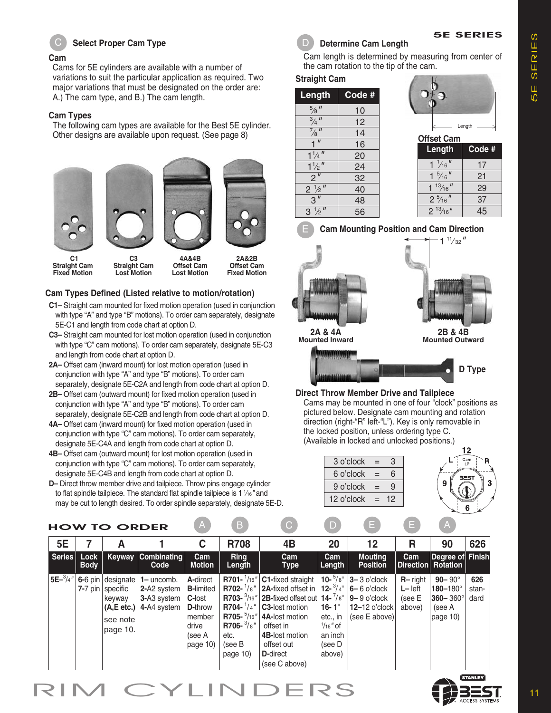

## C D **Select Proper Cam Type**

#### **Cam**

Cams for 5E cylinders are available with a number of variations to suit the particular application as required. Two major variations that must be designated on the order are: A.) The cam type, and B.) The cam length.

### **Cam Types**

The following cam types are available for the Best 5E cylinder. Other designs are available upon request. (See page 8)







**Straight Cam Straight Cam Offset Cam Offset Cam**

**C1 C3 4A&4B 2A&2B Fixed Motion Lost Motion Lost Motion Fixed Motion**

## **Cam Types Defined (Listed relative to motion/rotation)**

- **C1–** Straight cam mounted for fixed motion operation (used in conjunction with type "A" and type "B" motions). To order cam separately, designate 5E-C1 and length from code chart at option D.
- **C3–** Straight cam mounted for lost motion operation (used in conjunction with type "C" cam motions). To order cam separately, designate 5E-C3 and length from code chart at option D.
- **2A–** Offset cam (inward mount) for lost motion operation (used in conjunction with type "A" and type "B" motions). To order cam separately, designate 5E-C2A and length from code chart at option D.
- **2B–** Offset cam (outward mount) for fixed motion operation (used in conjunction with type "A" and type "B" motions). To order cam separately, designate 5E-C2B and length from code chart at option D.
- **4A–** Offset cam (inward mount) for fixed motion operation (used in conjunction with type "C" cam motions). To order cam separately, designate 5E-C4A and length from code chart at option D.
- **4B–** Offset cam (outward mount) for lost motion operation (used in conjunction with type "C" cam motions). To order cam separately, designate 5E-C4B and length from code chart at option D.
- **D–** Direct throw member drive and tailpiece. Throw pins engage cylinder to flat spindle tailpiece. The standard flat spindle tailpiece is 1 <sup>1</sup> ⁄16*"* and may be cut to length desired. To order spindle separately, designate 5E-D.



## **Determine Cam Length**

Cam length is determined by measuring from center of the cam rotation to the tip of the cam.

## **Straight Cam**

| Length                       | $Code$ # |
|------------------------------|----------|
| $\frac{5}{8}$ $\frac{11}{8}$ | 10       |
| $\frac{3}{4}$ <sup>11</sup>  | 12       |
| $\frac{7}{8}$ II             | 14       |
|                              | 16       |
| $1\frac{1}{4}$               | 20       |
| $1\frac{1}{2}$               | 24       |
| $\overline{c}$               | 32       |
| $2\frac{1}{2}$               | 40       |
| 3 <sup>''</sup>              | 48       |
| $3\frac{1}{2}$               | 56       |



Length

5E SERIES

| <b>Offset Cam</b> |        |  |  |  |  |  |
|-------------------|--------|--|--|--|--|--|
| Length            | Code # |  |  |  |  |  |
| $1\frac{1}{16}$   | 17     |  |  |  |  |  |
| $1\frac{5}{16}$ " | 21     |  |  |  |  |  |
| $1\frac{13}{16}$  | 29     |  |  |  |  |  |
| $2\frac{5}{16}$   | 37     |  |  |  |  |  |
| $2^{13}/16''$     | 45     |  |  |  |  |  |



**Cam Mounting Position and Cam Direction**  $1 \frac{11}{32}$ 





**Mounted Outward** 

**2A & 4A 2B & 4B**



## **Direct Throw Member Drive and Tailpiece**

Cams may be mounted in one of four "clock" positions as pictured below. Designate cam mounting and rotation direction (right-"R" left-"L"). Key is only removable in the locked position, unless ordering type C. (Available in locked and unlocked positions.)

| 3 o'clock         | $=$ | Cam         |
|-------------------|-----|-------------|
| 6 o'clock         | $=$ | <b>BEST</b> |
| 9 o'clock         | $=$ | 9           |
| $12$ o'clock = 12 |     |             |
|                   |     |             |

|               |                     | <b>HOW TO ORDER</b>                                                                      |                                                            | $\overline{A}$                                                                                    | ΙB,                                                                                  | С                                                                                                                                                                                                                                                                              | D                                                                                                                  | E                                                                                                           | E,                                           | A,                                                                                |                      |
|---------------|---------------------|------------------------------------------------------------------------------------------|------------------------------------------------------------|---------------------------------------------------------------------------------------------------|--------------------------------------------------------------------------------------|--------------------------------------------------------------------------------------------------------------------------------------------------------------------------------------------------------------------------------------------------------------------------------|--------------------------------------------------------------------------------------------------------------------|-------------------------------------------------------------------------------------------------------------|----------------------------------------------|-----------------------------------------------------------------------------------|----------------------|
| 5E            |                     | А                                                                                        |                                                            | C                                                                                                 | <b>R708</b>                                                                          | 4B                                                                                                                                                                                                                                                                             | 20                                                                                                                 | 12                                                                                                          | R                                            | 90                                                                                | 626                  |
| Series        | Lock<br><b>Body</b> |                                                                                          | <b>Keyway Combinating</b><br>Code                          | Cam<br><b>Motion</b>                                                                              | <b>Ring</b><br>Length                                                                | Cam<br><b>Type</b>                                                                                                                                                                                                                                                             | Cam<br>Length                                                                                                      | <b>Mouting</b><br><b>Position</b>                                                                           | Cam                                          | Degree of Finish<br>Direction Rotation                                            |                      |
| $5E-^{3}/4''$ |                     | $6-6$ pin designate<br>7-7 pin specific<br>keyway<br>(A, E etc.)<br>see note<br>page 10. | $1 -$ uncomb.<br>2-A2 system<br>3-A3 system<br>4-A4 system | A-direct<br><b>B-limited</b><br><b>C-lost</b><br>D-throw<br>member<br>drive<br>(see A<br>page 10) | R705- $\frac{5}{16}$ "<br><b>R706-</b> $\frac{3}{8}$ "<br>etc.<br>(see B<br>page 10) | R701- $\frac{1}{16}$ " C1-fixed straight<br>R702- $\frac{1}{8}$ "   2A-fixed offset in  <br>R703- $\frac{3}{16}$ "   2B-fixed offset out  <br>R704- $\frac{1}{4}$ " C3-lost motion<br>4A-lost motion<br>offset in<br>4B-lost motion<br>offset out<br>D-direct<br>(see C above) | 12- $\frac{3}{4}$ "<br>14- $^{'}/8"$<br>$16 - 1$ "<br>etc., in<br>$\frac{1}{16}$ of<br>an inch<br>(see D<br>above) | 10- $\frac{5}{8}$ " 3-3 o'clock<br>$6 - 6$ o'clock<br>$9 - 9$ o'clock<br>$12 - 12$ o'clock<br>(see E above) | $R$ -right<br>$L - lett$<br>(see E<br>above) | $90 - 90^\circ$<br>$180 - 180^\circ$<br>$360 - 360^{\circ}$<br>(see A<br>page 10) | 626<br>stan-<br>dard |